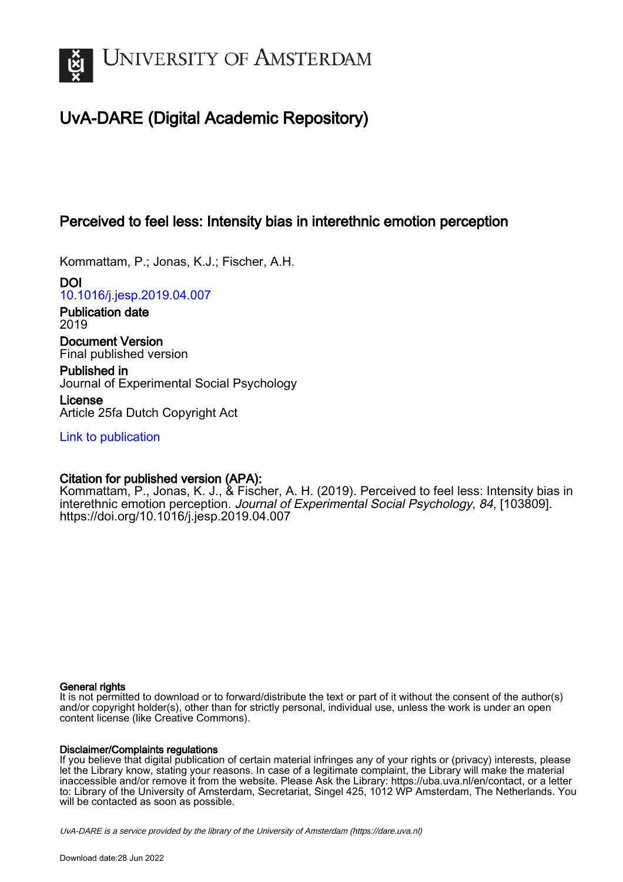

# UvA-DARE (Digital Academic Repository)

## Perceived to feel less: Intensity bias in interethnic emotion perception

Kommattam, P.; Jonas, K.J.; Fischer, A.H.

DOI [10.1016/j.jesp.2019.04.007](https://doi.org/10.1016/j.jesp.2019.04.007)

Publication date 2019

Document Version Final published version

Published in Journal of Experimental Social Psychology

License Article 25fa Dutch Copyright Act

[Link to publication](https://dare.uva.nl/personal/pure/en/publications/perceived-to-feel-less-intensity-bias-in-interethnic-emotion-perception(b002cfe2-c289-48e6-81ba-626b28f30906).html)

### Citation for published version (APA):

Kommattam, P., Jonas, K. J., & Fischer, A. H. (2019). Perceived to feel less: Intensity bias in interethnic emotion perception. Journal of Experimental Social Psychology, 84, [103809]. <https://doi.org/10.1016/j.jesp.2019.04.007>

### General rights

It is not permitted to download or to forward/distribute the text or part of it without the consent of the author(s) and/or copyright holder(s), other than for strictly personal, individual use, unless the work is under an open content license (like Creative Commons).

### Disclaimer/Complaints regulations

If you believe that digital publication of certain material infringes any of your rights or (privacy) interests, please let the Library know, stating your reasons. In case of a legitimate complaint, the Library will make the material inaccessible and/or remove it from the website. Please Ask the Library: https://uba.uva.nl/en/contact, or a letter to: Library of the University of Amsterdam, Secretariat, Singel 425, 1012 WP Amsterdam, The Netherlands. You will be contacted as soon as possible.

UvA-DARE is a service provided by the library of the University of Amsterdam (http*s*://dare.uva.nl)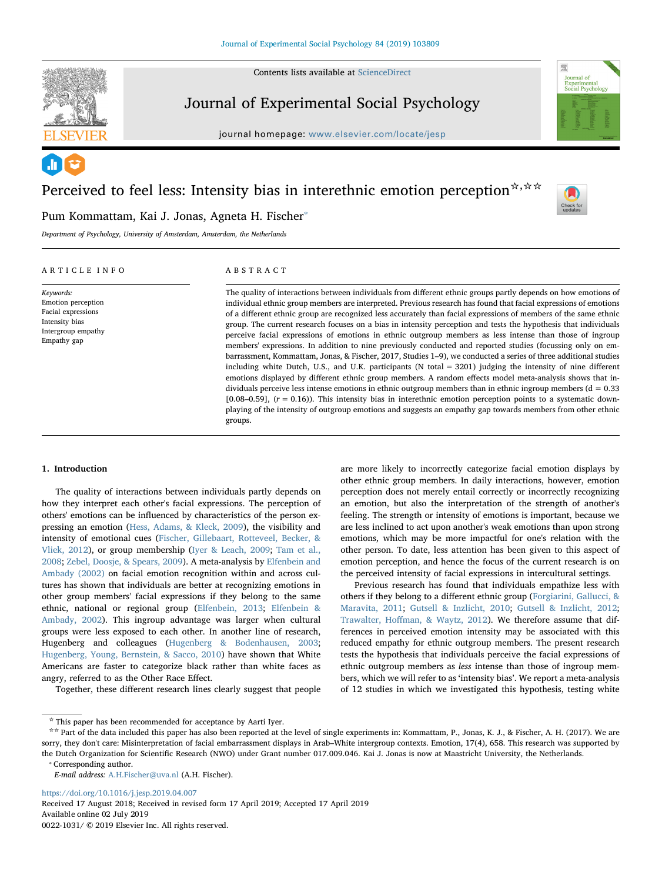

Contents lists available at [ScienceDirect](http://www.sciencedirect.com/science/journal/00221031)

### Journal of Experimental Social Psychology

journal homepage: [www.elsevier.com/locate/jesp](https://www.elsevier.com/locate/jesp)



# Perceived to feel less: Intensity bias in interethnic emotion perception  $\forall x \in \mathbb{R}$



Pum Kommattam, Kai J. Jonas, Agneta H. Fischer<sup>®</sup> Department of Psychology, University of Amsterdam, Amsterdam, the Netherlands

#### ARTICLE INFO

Keywords: Emotion perception Facial expressions Intensity bias Intergroup empathy Empathy gap

#### ABSTRACT

The quality of interactions between individuals from different ethnic groups partly depends on how emotions of individual ethnic group members are interpreted. Previous research has found that facial expressions of emotions of a different ethnic group are recognized less accurately than facial expressions of members of the same ethnic group. The current research focuses on a bias in intensity perception and tests the hypothesis that individuals perceive facial expressions of emotions in ethnic outgroup members as less intense than those of ingroup members' expressions. In addition to nine previously conducted and reported studies (focussing only on embarrassment, Kommattam, Jonas, & Fischer, 2017, Studies 1–9), we conducted a series of three additional studies including white Dutch, U.S., and U.K. participants (N total = 3201) judging the intensity of nine different emotions displayed by different ethnic group members. A random effects model meta-analysis shows that individuals perceive less intense emotions in ethnic outgroup members than in ethnic ingroup members ( $d = 0.33$ ) [0.08–0.59],  $(r = 0.16)$ ). This intensity bias in interethnic emotion perception points to a systematic downplaying of the intensity of outgroup emotions and suggests an empathy gap towards members from other ethnic groups.

#### 1. Introduction

The quality of interactions between individuals partly depends on how they interpret each other's facial expressions. The perception of others' emotions can be influenced by characteristics of the person expressing an emotion ([Hess, Adams, & Kleck, 2009\)](#page-7-0), the visibility and intensity of emotional cues ([Fischer, Gillebaart, Rotteveel, Becker, &](#page-7-1) [Vliek, 2012](#page-7-1)), or group membership ([Iyer & Leach, 2009](#page-7-2); [Tam et al.,](#page-7-3) [2008;](#page-7-3) [Zebel, Doosje, & Spears, 2009](#page-7-4)). A meta-analysis by [Elfenbein and](#page-7-5) [Ambady \(2002\)](#page-7-5) on facial emotion recognition within and across cultures has shown that individuals are better at recognizing emotions in other group members' facial expressions if they belong to the same ethnic, national or regional group ([Elfenbein, 2013;](#page-7-6) [Elfenbein &](#page-7-5) [Ambady, 2002\)](#page-7-5). This ingroup advantage was larger when cultural groups were less exposed to each other. In another line of research, Hugenberg and colleagues [\(Hugenberg & Bodenhausen, 2003](#page-7-7); [Hugenberg, Young, Bernstein, & Sacco, 2010](#page-7-8)) have shown that White Americans are faster to categorize black rather than white faces as angry, referred to as the Other Race Effect.

Together, these different research lines clearly suggest that people

are more likely to incorrectly categorize facial emotion displays by other ethnic group members. In daily interactions, however, emotion perception does not merely entail correctly or incorrectly recognizing an emotion, but also the interpretation of the strength of another's feeling. The strength or intensity of emotions is important, because we are less inclined to act upon another's weak emotions than upon strong emotions, which may be more impactful for one's relation with the other person. To date, less attention has been given to this aspect of emotion perception, and hence the focus of the current research is on the perceived intensity of facial expressions in intercultural settings.

Previous research has found that individuals empathize less with others if they belong to a different ethnic group ([Forgiarini, Gallucci, &](#page-7-9) [Maravita, 2011;](#page-7-9) [Gutsell & Inzlicht, 2010](#page-7-10); [Gutsell & Inzlicht, 2012](#page-7-11); Trawalter, Hoff[man, & Waytz, 2012\)](#page-7-12). We therefore assume that differences in perceived emotion intensity may be associated with this reduced empathy for ethnic outgroup members. The present research tests the hypothesis that individuals perceive the facial expressions of ethnic outgroup members as less intense than those of ingroup members, which we will refer to as 'intensity bias'. We report a meta-analysis of 12 studies in which we investigated this hypothesis, testing white

<span id="page-1-0"></span>⁎ Corresponding author.

E-mail address: [A.H.Fischer@uva.nl](mailto:A.H.Fischer@uva.nl) (A.H. Fischer).

<https://doi.org/10.1016/j.jesp.2019.04.007> Received 17 August 2018; Received in revised form 17 April 2019; Accepted 17 April 2019 Available online 02 July 2019 0022-1031/ © 2019 Elsevier Inc. All rights reserved.

 $^\star$  This paper has been recommended for acceptance by Aarti Iyer.

<sup>☆☆</sup> Part of the data included this paper has also been reported at the level of single experiments in: Kommattam, P., Jonas, K. J., & Fischer, A. H. (2017). We are sorry, they don't care: Misinterpretation of facial embarrassment displays in Arab–White intergroup contexts. Emotion, 17(4), 658. This research was supported by the Dutch Organization for Scientific Research (NWO) under Grant number 017.009.046. Kai J. Jonas is now at Maastricht University, the Netherlands.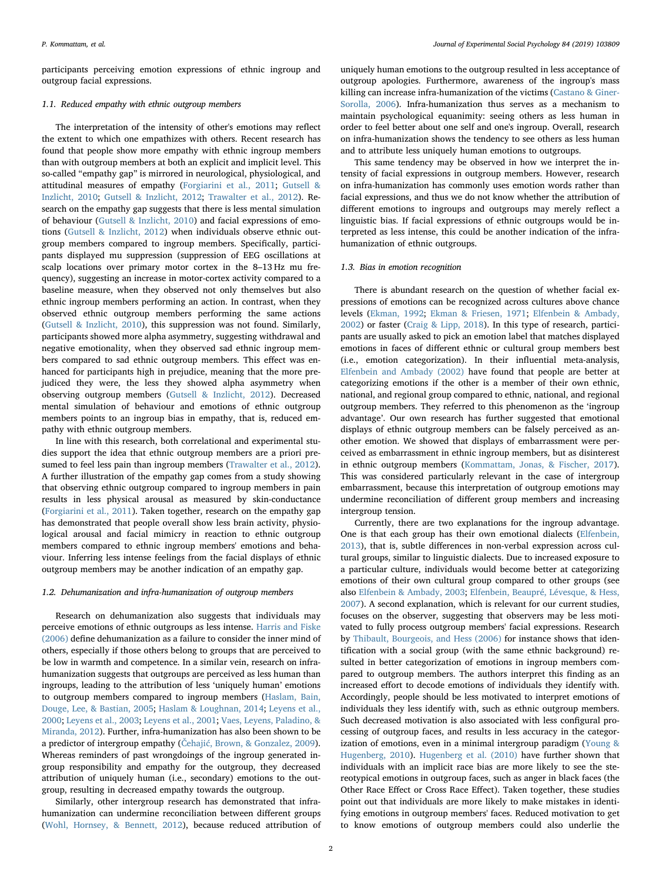participants perceiving emotion expressions of ethnic ingroup and outgroup facial expressions.

#### 1.1. Reduced empathy with ethnic outgroup members

The interpretation of the intensity of other's emotions may reflect the extent to which one empathizes with others. Recent research has found that people show more empathy with ethnic ingroup members than with outgroup members at both an explicit and implicit level. This so-called "empathy gap" is mirrored in neurological, physiological, and attitudinal measures of empathy ([Forgiarini et al., 2011;](#page-7-9) [Gutsell &](#page-7-10) [Inzlicht, 2010](#page-7-10); [Gutsell & Inzlicht, 2012;](#page-7-11) [Trawalter et al., 2012](#page-7-12)). Research on the empathy gap suggests that there is less mental simulation of behaviour ([Gutsell & Inzlicht, 2010](#page-7-10)) and facial expressions of emotions [\(Gutsell & Inzlicht, 2012\)](#page-7-11) when individuals observe ethnic outgroup members compared to ingroup members. Specifically, participants displayed mu suppression (suppression of EEG oscillations at scalp locations over primary motor cortex in the 8–13 Hz mu frequency), suggesting an increase in motor-cortex activity compared to a baseline measure, when they observed not only themselves but also ethnic ingroup members performing an action. In contrast, when they observed ethnic outgroup members performing the same actions ([Gutsell & Inzlicht, 2010\)](#page-7-10), this suppression was not found. Similarly, participants showed more alpha asymmetry, suggesting withdrawal and negative emotionality, when they observed sad ethnic ingroup members compared to sad ethnic outgroup members. This effect was enhanced for participants high in prejudice, meaning that the more prejudiced they were, the less they showed alpha asymmetry when observing outgroup members ([Gutsell & Inzlicht, 2012](#page-7-11)). Decreased mental simulation of behaviour and emotions of ethnic outgroup members points to an ingroup bias in empathy, that is, reduced empathy with ethnic outgroup members.

In line with this research, both correlational and experimental studies support the idea that ethnic outgroup members are a priori presumed to feel less pain than ingroup members [\(Trawalter et al., 2012](#page-7-12)). A further illustration of the empathy gap comes from a study showing that observing ethnic outgroup compared to ingroup members in pain results in less physical arousal as measured by skin-conductance ([Forgiarini et al., 2011\)](#page-7-9). Taken together, research on the empathy gap has demonstrated that people overall show less brain activity, physiological arousal and facial mimicry in reaction to ethnic outgroup members compared to ethnic ingroup members' emotions and behaviour. Inferring less intense feelings from the facial displays of ethnic outgroup members may be another indication of an empathy gap.

#### 1.2. Dehumanization and infra-humanization of outgroup members

Research on dehumanization also suggests that individuals may perceive emotions of ethnic outgroups as less intense. [Harris and Fiske](#page-7-13) [\(2006\)](#page-7-13) define dehumanization as a failure to consider the inner mind of others, especially if those others belong to groups that are perceived to be low in warmth and competence. In a similar vein, research on infrahumanization suggests that outgroups are perceived as less human than ingroups, leading to the attribution of less 'uniquely human' emotions to outgroup members compared to ingroup members [\(Haslam, Bain,](#page-7-14) [Douge, Lee, & Bastian, 2005](#page-7-14); [Haslam & Loughnan, 2014](#page-7-15); [Leyens et al.,](#page-7-16) [2000;](#page-7-16) [Leyens et al., 2003](#page-7-17); [Leyens et al., 2001;](#page-7-18) Vaes, [Leyens, Paladino, &](#page-7-19) [Miranda, 2012\)](#page-7-19). Further, infra-humanization has also been shown to be a predictor of intergroup empathy (Čehajić[, Brown, & Gonzalez, 2009](#page-7-20)). Whereas reminders of past wrongdoings of the ingroup generated ingroup responsibility and empathy for the outgroup, they decreased attribution of uniquely human (i.e., secondary) emotions to the outgroup, resulting in decreased empathy towards the outgroup.

Similarly, other intergroup research has demonstrated that infrahumanization can undermine reconciliation between different groups ([Wohl, Hornsey, & Bennett, 2012](#page-7-21)), because reduced attribution of

uniquely human emotions to the outgroup resulted in less acceptance of outgroup apologies. Furthermore, awareness of the ingroup's mass killing can increase infra-humanization of the victims [\(Castano & Giner-](#page-7-22)[Sorolla, 2006](#page-7-22)). Infra-humanization thus serves as a mechanism to maintain psychological equanimity: seeing others as less human in order to feel better about one self and one's ingroup. Overall, research on infra-humanization shows the tendency to see others as less human and to attribute less uniquely human emotions to outgroups.

This same tendency may be observed in how we interpret the intensity of facial expressions in outgroup members. However, research on infra-humanization has commonly uses emotion words rather than facial expressions, and thus we do not know whether the attribution of different emotions to ingroups and outgroups may merely reflect a linguistic bias. If facial expressions of ethnic outgroups would be interpreted as less intense, this could be another indication of the infrahumanization of ethnic outgroups.

#### 1.3. Bias in emotion recognition

There is abundant research on the question of whether facial expressions of emotions can be recognized across cultures above chance levels [\(Ekman, 1992](#page-7-23); [Ekman & Friesen, 1971;](#page-7-24) [Elfenbein & Ambady,](#page-7-5) [2002\)](#page-7-5) or faster [\(Craig & Lipp, 2018](#page-7-25)). In this type of research, participants are usually asked to pick an emotion label that matches displayed emotions in faces of different ethnic or cultural group members best (i.e., emotion categorization). In their influential meta-analysis, [Elfenbein and Ambady \(2002\)](#page-7-5) have found that people are better at categorizing emotions if the other is a member of their own ethnic, national, and regional group compared to ethnic, national, and regional outgroup members. They referred to this phenomenon as the 'ingroup advantage'. Our own research has further suggested that emotional displays of ethnic outgroup members can be falsely perceived as another emotion. We showed that displays of embarrassment were perceived as embarrassment in ethnic ingroup members, but as disinterest in ethnic outgroup members [\(Kommattam, Jonas, & Fischer, 2017](#page-7-26)). This was considered particularly relevant in the case of intergroup embarrassment, because this interpretation of outgroup emotions may undermine reconciliation of different group members and increasing intergroup tension.

Currently, there are two explanations for the ingroup advantage. One is that each group has their own emotional dialects [\(Elfenbein,](#page-7-6) [2013\)](#page-7-6), that is, subtle differences in non-verbal expression across cultural groups, similar to linguistic dialects. Due to increased exposure to a particular culture, individuals would become better at categorizing emotions of their own cultural group compared to other groups (see also [Elfenbein & Ambady, 2003](#page-7-27); [Elfenbein, Beaupré, Lévesque, & Hess,](#page-7-28) [2007\)](#page-7-28). A second explanation, which is relevant for our current studies, focuses on the observer, suggesting that observers may be less motivated to fully process outgroup members' facial expressions. Research by Thibault, [Bourgeois, and Hess \(2006\)](#page-7-29) for instance shows that identification with a social group (with the same ethnic background) resulted in better categorization of emotions in ingroup members compared to outgroup members. The authors interpret this finding as an increased effort to decode emotions of individuals they identify with. Accordingly, people should be less motivated to interpret emotions of individuals they less identify with, such as ethnic outgroup members. Such decreased motivation is also associated with less configural processing of outgroup faces, and results in less accuracy in the categorization of emotions, even in a minimal intergroup paradigm ([Young &](#page-7-30) [Hugenberg, 2010\)](#page-7-30). [Hugenberg et al. \(2010\)](#page-7-8) have further shown that individuals with an implicit race bias are more likely to see the stereotypical emotions in outgroup faces, such as anger in black faces (the Other Race Effect or Cross Race Effect). Taken together, these studies point out that individuals are more likely to make mistakes in identifying emotions in outgroup members' faces. Reduced motivation to get to know emotions of outgroup members could also underlie the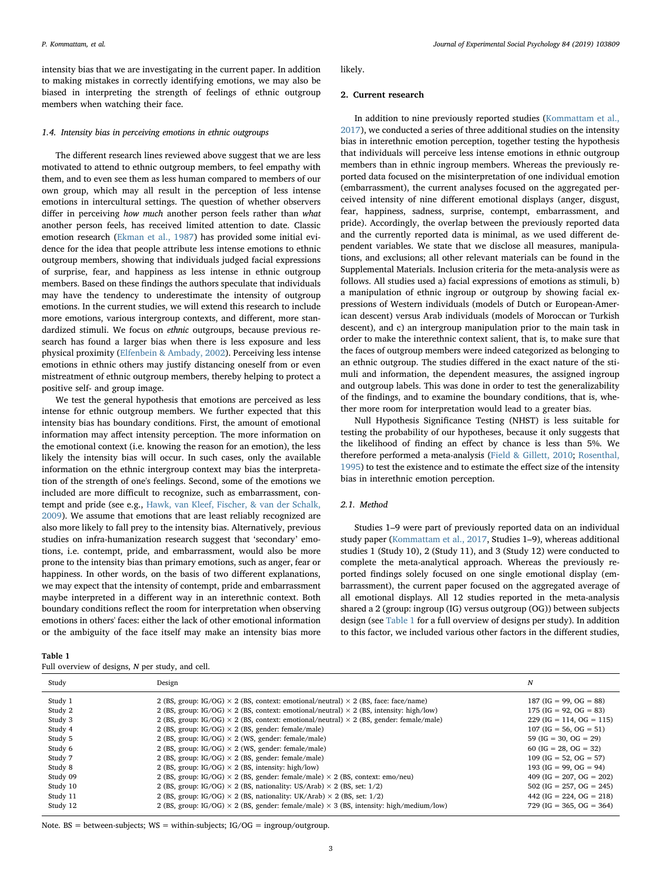intensity bias that we are investigating in the current paper. In addition to making mistakes in correctly identifying emotions, we may also be biased in interpreting the strength of feelings of ethnic outgroup members when watching their face.

#### 1.4. Intensity bias in perceiving emotions in ethnic outgroups

The different research lines reviewed above suggest that we are less motivated to attend to ethnic outgroup members, to feel empathy with them, and to even see them as less human compared to members of our own group, which may all result in the perception of less intense emotions in intercultural settings. The question of whether observers differ in perceiving how much another person feels rather than what another person feels, has received limited attention to date. Classic emotion research [\(Ekman et al., 1987\)](#page-7-31) has provided some initial evidence for the idea that people attribute less intense emotions to ethnic outgroup members, showing that individuals judged facial expressions of surprise, fear, and happiness as less intense in ethnic outgroup members. Based on these findings the authors speculate that individuals may have the tendency to underestimate the intensity of outgroup emotions. In the current studies, we will extend this research to include more emotions, various intergroup contexts, and different, more standardized stimuli. We focus on ethnic outgroups, because previous research has found a larger bias when there is less exposure and less physical proximity [\(Elfenbein & Ambady, 2002\)](#page-7-5). Perceiving less intense emotions in ethnic others may justify distancing oneself from or even mistreatment of ethnic outgroup members, thereby helping to protect a positive self- and group image.

We test the general hypothesis that emotions are perceived as less intense for ethnic outgroup members. We further expected that this intensity bias has boundary conditions. First, the amount of emotional information may affect intensity perception. The more information on the emotional context (i.e. knowing the reason for an emotion), the less likely the intensity bias will occur. In such cases, only the available information on the ethnic intergroup context may bias the interpretation of the strength of one's feelings. Second, some of the emotions we included are more difficult to recognize, such as embarrassment, contempt and pride (see e.g., [Hawk, van Kleef, Fischer, & van der Schalk,](#page-7-32) [2009\)](#page-7-32). We assume that emotions that are least reliably recognized are also more likely to fall prey to the intensity bias. Alternatively, previous studies on infra-humanization research suggest that 'secondary' emotions, i.e. contempt, pride, and embarrassment, would also be more prone to the intensity bias than primary emotions, such as anger, fear or happiness. In other words, on the basis of two different explanations, we may expect that the intensity of contempt, pride and embarrassment maybe interpreted in a different way in an interethnic context. Both boundary conditions reflect the room for interpretation when observing emotions in others' faces: either the lack of other emotional information or the ambiguity of the face itself may make an intensity bias more

#### <span id="page-3-0"></span>Table 1

|  |  | Full overview of designs, N per study, and cell. |  |  |  |  |  |  |  |  |  |
|--|--|--------------------------------------------------|--|--|--|--|--|--|--|--|--|
|--|--|--------------------------------------------------|--|--|--|--|--|--|--|--|--|

likely.

#### 2. Current research

In addition to nine previously reported studies [\(Kommattam et al.,](#page-7-26) [2017\)](#page-7-26), we conducted a series of three additional studies on the intensity bias in interethnic emotion perception, together testing the hypothesis that individuals will perceive less intense emotions in ethnic outgroup members than in ethnic ingroup members. Whereas the previously reported data focused on the misinterpretation of one individual emotion (embarrassment), the current analyses focused on the aggregated perceived intensity of nine different emotional displays (anger, disgust, fear, happiness, sadness, surprise, contempt, embarrassment, and pride). Accordingly, the overlap between the previously reported data and the currently reported data is minimal, as we used different dependent variables. We state that we disclose all measures, manipulations, and exclusions; all other relevant materials can be found in the Supplemental Materials. Inclusion criteria for the meta-analysis were as follows. All studies used a) facial expressions of emotions as stimuli, b) a manipulation of ethnic ingroup or outgroup by showing facial expressions of Western individuals (models of Dutch or European-American descent) versus Arab individuals (models of Moroccan or Turkish descent), and c) an intergroup manipulation prior to the main task in order to make the interethnic context salient, that is, to make sure that the faces of outgroup members were indeed categorized as belonging to an ethnic outgroup. The studies differed in the exact nature of the stimuli and information, the dependent measures, the assigned ingroup and outgroup labels. This was done in order to test the generalizability of the findings, and to examine the boundary conditions, that is, whether more room for interpretation would lead to a greater bias.

Null Hypothesis Significance Testing (NHST) is less suitable for testing the probability of our hypotheses, because it only suggests that the likelihood of finding an effect by chance is less than 5%. We therefore performed a meta-analysis ([Field & Gillett, 2010;](#page-7-33) [Rosenthal,](#page-7-34) [1995\)](#page-7-34) to test the existence and to estimate the effect size of the intensity bias in interethnic emotion perception.

#### 2.1. Method

Studies 1–9 were part of previously reported data on an individual study paper [\(Kommattam et al., 2017](#page-7-26), Studies 1–9), whereas additional studies 1 (Study 10), 2 (Study 11), and 3 (Study 12) were conducted to complete the meta-analytical approach. Whereas the previously reported findings solely focused on one single emotional display (embarrassment), the current paper focused on the aggregated average of all emotional displays. All 12 studies reported in the meta-analysis shared a 2 (group: ingroup (IG) versus outgroup (OG)) between subjects design (see [Table 1](#page-3-0) for a full overview of designs per study). In addition to this factor, we included various other factors in the different studies,

| Study    | Design                                                                                                | N                          |
|----------|-------------------------------------------------------------------------------------------------------|----------------------------|
| Study 1  | 2 (BS, group: IG/OG) $\times$ 2 (BS, context: emotional/neutral) $\times$ 2 (BS, face: face/name)     | 187 (IG = 99, OG = 88)     |
| Study 2  | 2 (BS, group: IG/OG) $\times$ 2 (BS, context: emotional/neutral) $\times$ 2 (BS, intensity: high/low) | $175$ (IG = 92, OG = 83)   |
| Study 3  | 2 (BS, group: IG/OG) $\times$ 2 (BS, context: emotional/neutral) $\times$ 2 (BS, gender: female/male) | $229$ (IG = 114, OG = 115) |
| Study 4  | 2 (BS, group: IG/OG) $\times$ 2 (BS, gender: female/male)                                             | $107$ (IG = 56, OG = 51)   |
| Study 5  | 2 (BS, group: IG/OG) $\times$ 2 (WS, gender: female/male)                                             | 59 (IG = 30, OG = 29)      |
| Study 6  | 2 (BS, group: IG/OG) $\times$ 2 (WS, gender: female/male)                                             | $60$ (IG = 28, OG = 32)    |
| Study 7  | 2 (BS, group: $IG/OG$ ) $\times$ 2 (BS, gender: female/male)                                          | $109$ (IG = 52, OG = 57)   |
| Study 8  | 2 (BS, group: IG/OG) $\times$ 2 (BS, intensity: high/low)                                             | 193 (IG = 99, OG = 94)     |
| Study 09 | 2 (BS, group: IG/OG) $\times$ 2 (BS, gender: female/male) $\times$ 2 (BS, context: emo/neu)           | 409 (IG = 207, OG = 202)   |
| Study 10 | 2 (BS, group: IG/OG) $\times$ 2 (BS, nationality: US/Arab) $\times$ 2 (BS, set: 1/2)                  | $502$ (IG = 257, OG = 245) |
| Study 11 | 2 (BS, group: IG/OG) $\times$ 2 (BS, nationality: UK/Arab) $\times$ 2 (BS, set: 1/2)                  | 442 (IG = 224, OG = 218)   |
| Study 12 | 2 (BS, group: IG/OG) $\times$ 2 (BS, gender: female/male) $\times$ 3 (BS, intensity: high/medium/low) | $729$ (IG = 365, OG = 364) |

Note.  $BS = between-subjects$ ;  $WS = within-subjects$ ;  $IG/OG = ingroup/outgroup$ .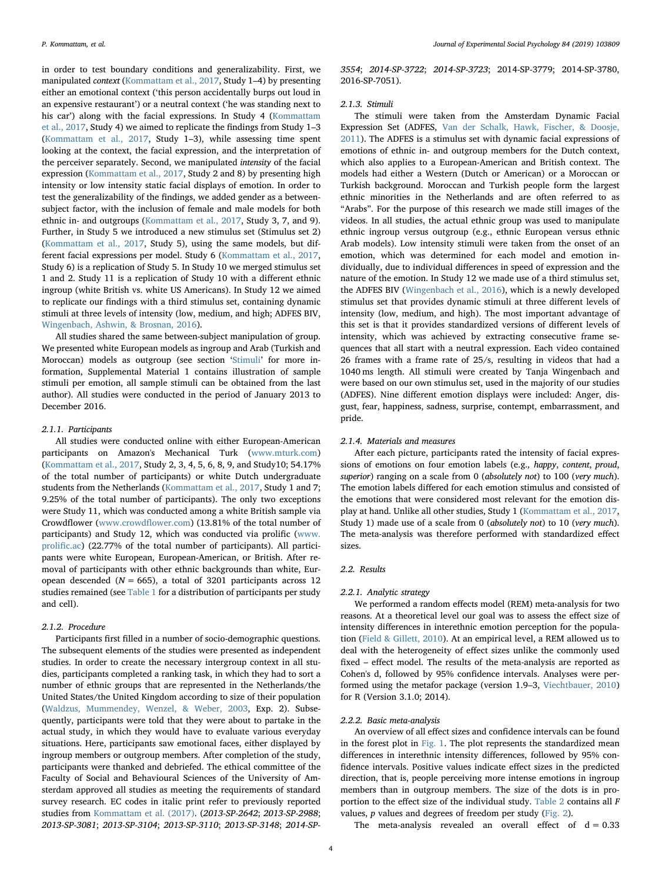in order to test boundary conditions and generalizability. First, we manipulated context ([Kommattam et al., 2017](#page-7-26), Study 1–4) by presenting either an emotional context ('this person accidentally burps out loud in an expensive restaurant') or a neutral context ('he was standing next to his car') along with the facial expressions. In Study 4 [\(Kommattam](#page-7-26) [et al., 2017](#page-7-26), Study 4) we aimed to replicate the findings from Study 1–3 ([Kommattam et al., 2017,](#page-7-26) Study 1–3), while assessing time spent looking at the context, the facial expression, and the interpretation of the perceiver separately. Second, we manipulated intensity of the facial expression ([Kommattam et al., 2017,](#page-7-26) Study 2 and 8) by presenting high intensity or low intensity static facial displays of emotion. In order to test the generalizability of the findings, we added gender as a betweensubject factor, with the inclusion of female and male models for both ethnic in- and outgroups ([Kommattam et al., 2017](#page-7-26), Study 3, 7, and 9). Further, in Study 5 we introduced a new stimulus set (Stimulus set 2) ([Kommattam et al., 2017,](#page-7-26) Study 5), using the same models, but different facial expressions per model. Study 6 ([Kommattam et al., 2017](#page-7-26), Study 6) is a replication of Study 5. In Study 10 we merged stimulus set 1 and 2. Study 11 is a replication of Study 10 with a different ethnic ingroup (white British vs. white US Americans). In Study 12 we aimed to replicate our findings with a third stimulus set, containing dynamic stimuli at three levels of intensity (low, medium, and high; ADFES BIV, [Wingenbach, Ashwin, & Brosnan, 2016\)](#page-7-35).

All studies shared the same between-subject manipulation of group. We presented white European models as ingroup and Arab (Turkish and Moroccan) models as outgroup (see section '[Stimuli](#page-4-0)' for more information, Supplemental Material 1 contains illustration of sample stimuli per emotion, all sample stimuli can be obtained from the last author). All studies were conducted in the period of January 2013 to December 2016.

#### 2.1.1. Participants

All studies were conducted online with either European-American participants on Amazon's Mechanical Turk [\(www.mturk.com\)](http://www.mturk.com) ([Kommattam et al., 2017](#page-7-26), Study 2, 3, 4, 5, 6, 8, 9, and Study10; 54.17% of the total number of participants) or white Dutch undergraduate students from the Netherlands ([Kommattam et al., 2017,](#page-7-26) Study 1 and 7; 9.25% of the total number of participants). The only two exceptions were Study 11, which was conducted among a white British sample via Crowdflower ([www.crowd](http://www.crowdflower.com)flower.com) (13.81% of the total number of participants) and Study 12, which was conducted via prolific ([www.](http://www.prolific.ac) [proli](http://www.prolific.ac)fic.ac) (22.77% of the total number of participants). All participants were white European, European-American, or British. After removal of participants with other ethnic backgrounds than white, European descended ( $N = 665$ ), a total of 3201 participants across 12 studies remained (see [Table 1](#page-3-0) for a distribution of participants per study and cell).

#### 2.1.2. Procedure

Participants first filled in a number of socio-demographic questions. The subsequent elements of the studies were presented as independent studies. In order to create the necessary intergroup context in all studies, participants completed a ranking task, in which they had to sort a number of ethnic groups that are represented in the Netherlands/the United States/the United Kingdom according to size of their population ([Waldzus, Mummendey, Wenzel, & Weber, 2003](#page-7-36), Exp. 2). Subsequently, participants were told that they were about to partake in the actual study, in which they would have to evaluate various everyday situations. Here, participants saw emotional faces, either displayed by ingroup members or outgroup members. After completion of the study, participants were thanked and debriefed. The ethical committee of the Faculty of Social and Behavioural Sciences of the University of Amsterdam approved all studies as meeting the requirements of standard survey research. EC codes in italic print refer to previously reported studies from [Kommattam et al. \(2017\)](#page-7-26). (2013-SP-2642; 2013-SP-2988; 2013-SP-3081; 2013-SP-3104; 2013-SP-3110; 2013-SP-3148; 2014-SP-

3554; 2014-SP-3722; 2014-SP-3723; 2014-SP-3779; 2014-SP-3780, 2016-SP-7051).

#### <span id="page-4-0"></span>2.1.3. Stimuli

The stimuli were taken from the Amsterdam Dynamic Facial Expression Set (ADFES, [Van der Schalk, Hawk, Fischer, & Doosje,](#page-7-37) [2011\)](#page-7-37). The ADFES is a stimulus set with dynamic facial expressions of emotions of ethnic in- and outgroup members for the Dutch context, which also applies to a European-American and British context. The models had either a Western (Dutch or American) or a Moroccan or Turkish background. Moroccan and Turkish people form the largest ethnic minorities in the Netherlands and are often referred to as "Arabs". For the purpose of this research we made still images of the videos. In all studies, the actual ethnic group was used to manipulate ethnic ingroup versus outgroup (e.g., ethnic European versus ethnic Arab models). Low intensity stimuli were taken from the onset of an emotion, which was determined for each model and emotion individually, due to individual differences in speed of expression and the nature of the emotion. In Study 12 we made use of a third stimulus set, the ADFES BIV ([Wingenbach et al., 2016\)](#page-7-35), which is a newly developed stimulus set that provides dynamic stimuli at three different levels of intensity (low, medium, and high). The most important advantage of this set is that it provides standardized versions of different levels of intensity, which was achieved by extracting consecutive frame sequences that all start with a neutral expression. Each video contained 26 frames with a frame rate of 25/s, resulting in videos that had a 1040 ms length. All stimuli were created by Tanja Wingenbach and were based on our own stimulus set, used in the majority of our studies (ADFES). Nine different emotion displays were included: Anger, disgust, fear, happiness, sadness, surprise, contempt, embarrassment, and pride.

#### 2.1.4. Materials and measures

After each picture, participants rated the intensity of facial expressions of emotions on four emotion labels (e.g., happy, content, proud, superior) ranging on a scale from 0 (absolutely not) to 100 (very much). The emotion labels differed for each emotion stimulus and consisted of the emotions that were considered most relevant for the emotion display at hand. Unlike all other studies, Study 1 ([Kommattam et al., 2017](#page-7-26), Study 1) made use of a scale from 0 (absolutely not) to 10 (very much). The meta-analysis was therefore performed with standardized effect sizes.

#### 2.2. Results

#### 2.2.1. Analytic strategy

We performed a random effects model (REM) meta-analysis for two reasons. At a theoretical level our goal was to assess the effect size of intensity differences in interethnic emotion perception for the population ([Field & Gillett, 2010](#page-7-33)). At an empirical level, a REM allowed us to deal with the heterogeneity of effect sizes unlike the commonly used fixed – effect model. The results of the meta-analysis are reported as Cohen's d, followed by 95% confidence intervals. Analyses were performed using the metafor package (version 1.9–3, [Viechtbauer, 2010\)](#page-7-38) for R (Version 3.1.0; 2014).

#### 2.2.2. Basic meta-analysis

An overview of all effect sizes and confidence intervals can be found in the forest plot in [Fig. 1.](#page-5-0) The plot represents the standardized mean differences in interethnic intensity differences, followed by 95% confidence intervals. Positive values indicate effect sizes in the predicted direction, that is, people perceiving more intense emotions in ingroup members than in outgroup members. The size of the dots is in proportion to the effect size of the individual study. [Table 2](#page-5-1) contains all F values, p values and degrees of freedom per study ([Fig. 2\)](#page-5-2).

The meta-analysis revealed an overall effect of  $d = 0.33$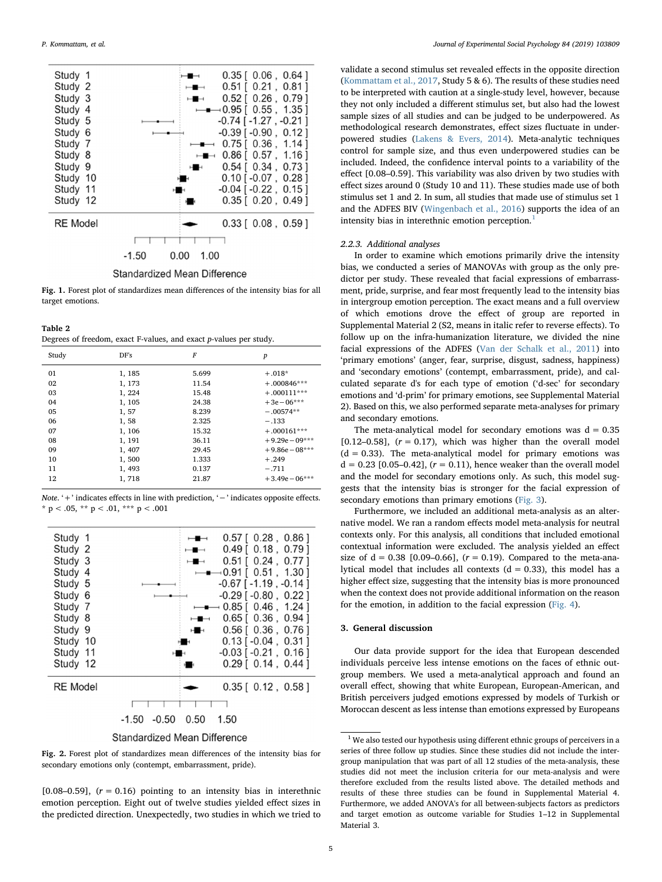<span id="page-5-0"></span>

Fig. 1. Forest plot of standardizes mean differences of the intensity bias for all target emotions.

<span id="page-5-1"></span>Table 2

Degrees of freedom, exact F-values, and exact p-values per study.

| Study | DF's   | F     | $\boldsymbol{p}$ |
|-------|--------|-------|------------------|
| 01    | 1, 185 | 5.699 | $+.018*$         |
| 02    | 1, 173 | 11.54 | $+.000846***$    |
| 03    | 1, 224 | 15.48 | $+.000111***$    |
| 04    | 1, 105 | 24.38 | $+3e-06***$      |
| 05    | 1, 57  | 8.239 | $-.00574**$      |
| 06    | 1,58   | 2.325 | $-.133$          |
| 07    | 1, 106 | 15.32 | $+.000161***$    |
| 08    | 1, 191 | 36.11 | $+9.29e-09***$   |
| 09    | 1, 407 | 29.45 | $+9.86e-08***$   |
| 10    | 1,500  | 1.333 | $+.249$          |
| 11    | 1, 493 | 0.137 | $-.711$          |
| 12    | 1,718  | 21.87 | $+3.49e - 06***$ |

Note. '+' indicates effects in line with prediction, '−' indicates opposite effects. \* p < .05, \*\* p < .01, \*\*\* p < .001

<span id="page-5-2"></span>

Standardized Mean Difference

Fig. 2. Forest plot of standardizes mean differences of the intensity bias for secondary emotions only (contempt, embarrassment, pride).

[0.08–0.59],  $(r = 0.16)$  pointing to an intensity bias in interethnic emotion perception. Eight out of twelve studies yielded effect sizes in the predicted direction. Unexpectedly, two studies in which we tried to

validate a second stimulus set revealed effects in the opposite direction ([Kommattam et al., 2017,](#page-7-26) Study 5 & 6). The results of these studies need to be interpreted with caution at a single-study level, however, because they not only included a different stimulus set, but also had the lowest sample sizes of all studies and can be judged to be underpowered. As methodological research demonstrates, effect sizes fluctuate in underpowered studies ([Lakens & Evers, 2014\)](#page-7-39). Meta-analytic techniques control for sample size, and thus even underpowered studies can be included. Indeed, the confidence interval points to a variability of the effect [0.08–0.59]. This variability was also driven by two studies with effect sizes around 0 (Study 10 and 11). These studies made use of both stimulus set 1 and 2. In sum, all studies that made use of stimulus set 1 and the ADFES BIV ([Wingenbach et al., 2016](#page-7-35)) supports the idea of an intensity bias in interethnic emotion perception.<sup>[1](#page-5-3)</sup>

#### 2.2.3. Additional analyses

In order to examine which emotions primarily drive the intensity bias, we conducted a series of MANOVAs with group as the only predictor per study. These revealed that facial expressions of embarrassment, pride, surprise, and fear most frequently lead to the intensity bias in intergroup emotion perception. The exact means and a full overview of which emotions drove the effect of group are reported in Supplemental Material 2 (S2, means in italic refer to reverse effects). To follow up on the infra-humanization literature, we divided the nine facial expressions of the ADFES ([Van der Schalk et al., 2011\)](#page-7-37) into 'primary emotions' (anger, fear, surprise, disgust, sadness, happiness) and 'secondary emotions' (contempt, embarrassment, pride), and calculated separate d's for each type of emotion ('d-sec' for secondary emotions and 'd-prim' for primary emotions, see Supplemental Material 2). Based on this, we also performed separate meta-analyses for primary and secondary emotions.

The meta-analytical model for secondary emotions was  $d = 0.35$ [0.12–0.58],  $(r = 0.17)$ , which was higher than the overall model  $(d = 0.33)$ . The meta-analytical model for primary emotions was  $d = 0.23$  [0.05–0.42],  $(r = 0.11)$ , hence weaker than the overall model and the model for secondary emotions only. As such, this model suggests that the intensity bias is stronger for the facial expression of secondary emotions than primary emotions ([Fig. 3](#page-6-0)).

Furthermore, we included an additional meta-analysis as an alternative model. We ran a random effects model meta-analysis for neutral contexts only. For this analysis, all conditions that included emotional contextual information were excluded. The analysis yielded an effect size of  $d = 0.38$  [0.09–0.66],  $(r = 0.19)$ . Compared to the meta-analytical model that includes all contexts  $(d = 0.33)$ , this model has a higher effect size, suggesting that the intensity bias is more pronounced when the context does not provide additional information on the reason for the emotion, in addition to the facial expression ([Fig. 4](#page-6-1)).

#### 3. General discussion

Our data provide support for the idea that European descended individuals perceive less intense emotions on the faces of ethnic outgroup members. We used a meta-analytical approach and found an overall effect, showing that white European, European-American, and British perceivers judged emotions expressed by models of Turkish or Moroccan descent as less intense than emotions expressed by Europeans

<span id="page-5-3"></span> $^{\rm 1}$  We also tested our hypothesis using different ethnic groups of perceivers in a series of three follow up studies. Since these studies did not include the intergroup manipulation that was part of all 12 studies of the meta-analysis, these studies did not meet the inclusion criteria for our meta-analysis and were therefore excluded from the results listed above. The detailed methods and results of these three studies can be found in Supplemental Material 4. Furthermore, we added ANOVA's for all between-subjects factors as predictors and target emotion as outcome variable for Studies 1–12 in Supplemental Material 3.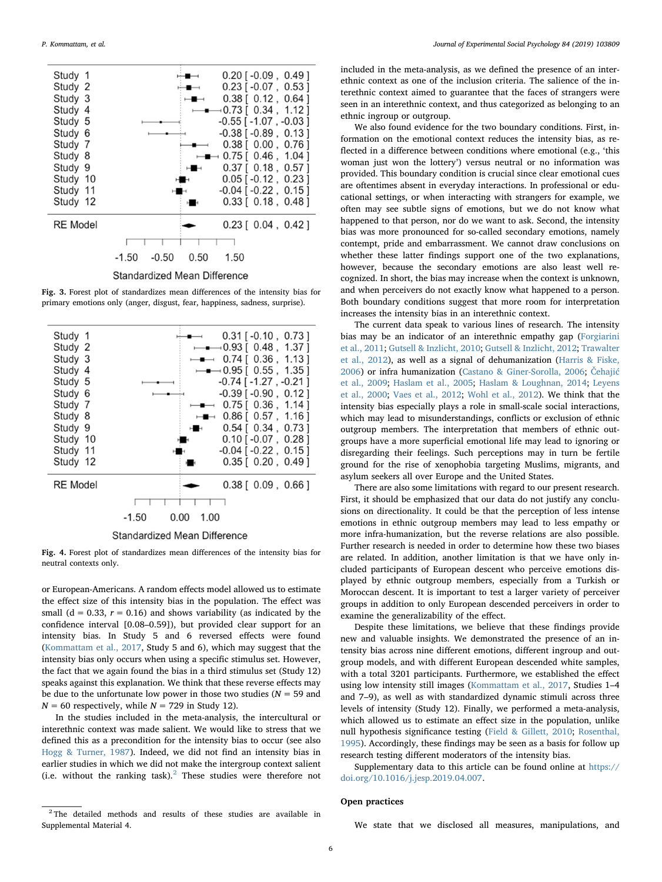<span id="page-6-0"></span>

Fig. 3. Forest plot of standardizes mean differences of the intensity bias for primary emotions only (anger, disgust, fear, happiness, sadness, surprise).

<span id="page-6-1"></span>

Fig. 4. Forest plot of standardizes mean differences of the intensity bias for neutral contexts only.

or European-Americans. A random effects model allowed us to estimate the effect size of this intensity bias in the population. The effect was small ( $d = 0.33$ ,  $r = 0.16$ ) and shows variability (as indicated by the confidence interval [0.08–0.59]), but provided clear support for an intensity bias. In Study 5 and 6 reversed effects were found ([Kommattam et al., 2017](#page-7-26), Study 5 and 6), which may suggest that the intensity bias only occurs when using a specific stimulus set. However, the fact that we again found the bias in a third stimulus set (Study 12) speaks against this explanation. We think that these reverse effects may be due to the unfortunate low power in those two studies ( $N = 59$  and  $N = 60$  respectively, while  $N = 729$  in Study 12).

In the studies included in the meta-analysis, the intercultural or interethnic context was made salient. We would like to stress that we defined this as a precondition for the intensity bias to occur (see also [Hogg & Turner, 1987\)](#page-7-40). Indeed, we did not find an intensity bias in earlier studies in which we did not make the intergroup context salient (i.e. without the ranking task). $2$  These studies were therefore not included in the meta-analysis, as we defined the presence of an interethnic context as one of the inclusion criteria. The salience of the interethnic context aimed to guarantee that the faces of strangers were seen in an interethnic context, and thus categorized as belonging to an ethnic ingroup or outgroup.

We also found evidence for the two boundary conditions. First, information on the emotional context reduces the intensity bias, as reflected in a difference between conditions where emotional (e.g., 'this woman just won the lottery') versus neutral or no information was provided. This boundary condition is crucial since clear emotional cues are oftentimes absent in everyday interactions. In professional or educational settings, or when interacting with strangers for example, we often may see subtle signs of emotions, but we do not know what happened to that person, nor do we want to ask. Second, the intensity bias was more pronounced for so-called secondary emotions, namely contempt, pride and embarrassment. We cannot draw conclusions on whether these latter findings support one of the two explanations, however, because the secondary emotions are also least well recognized. In short, the bias may increase when the context is unknown, and when perceivers do not exactly know what happened to a person. Both boundary conditions suggest that more room for interpretation increases the intensity bias in an interethnic context.

The current data speak to various lines of research. The intensity bias may be an indicator of an interethnic empathy gap ([Forgiarini](#page-7-9) [et al., 2011;](#page-7-9) [Gutsell & Inzlicht, 2010;](#page-7-10) [Gutsell & Inzlicht, 2012](#page-7-11); [Trawalter](#page-7-12) [et al., 2012](#page-7-12)), as well as a signal of dehumanization [\(Harris & Fiske,](#page-7-13) [2006\)](#page-7-13) or infra humanization [\(Castano & Giner-Sorolla, 2006](#page-7-22); Č[ehaji](#page-7-20)ć [et al., 2009;](#page-7-20) [Haslam et al., 2005;](#page-7-14) [Haslam & Loughnan, 2014](#page-7-15); [Leyens](#page-7-16) [et al., 2000](#page-7-16); [Vaes et al., 2012](#page-7-19); [Wohl et al., 2012\)](#page-7-21). We think that the intensity bias especially plays a role in small-scale social interactions, which may lead to misunderstandings, conflicts or exclusion of ethnic outgroup members. The interpretation that members of ethnic outgroups have a more superficial emotional life may lead to ignoring or disregarding their feelings. Such perceptions may in turn be fertile ground for the rise of xenophobia targeting Muslims, migrants, and asylum seekers all over Europe and the United States.

There are also some limitations with regard to our present research. First, it should be emphasized that our data do not justify any conclusions on directionality. It could be that the perception of less intense emotions in ethnic outgroup members may lead to less empathy or more infra-humanization, but the reverse relations are also possible. Further research is needed in order to determine how these two biases are related. In addition, another limitation is that we have only included participants of European descent who perceive emotions displayed by ethnic outgroup members, especially from a Turkish or Moroccan descent. It is important to test a larger variety of perceiver groups in addition to only European descended perceivers in order to examine the generalizability of the effect.

Despite these limitations, we believe that these findings provide new and valuable insights. We demonstrated the presence of an intensity bias across nine different emotions, different ingroup and outgroup models, and with different European descended white samples, with a total 3201 participants. Furthermore, we established the effect using low intensity still images ([Kommattam et al., 2017](#page-7-26), Studies 1–4 and 7–9), as well as with standardized dynamic stimuli across three levels of intensity (Study 12). Finally, we performed a meta-analysis, which allowed us to estimate an effect size in the population, unlike null hypothesis significance testing ([Field & Gillett, 2010](#page-7-33); [Rosenthal,](#page-7-34) [1995\)](#page-7-34). Accordingly, these findings may be seen as a basis for follow up research testing different moderators of the intensity bias.

Supplementary data to this article can be found online at [https://](https://doi.org/10.1016/j.jesp.2019.04.007) [doi.org/10.1016/j.jesp.2019.04.007](https://doi.org/10.1016/j.jesp.2019.04.007).

#### Open practices

We state that we disclosed all measures, manipulations, and

<span id="page-6-2"></span><sup>&</sup>lt;sup>2</sup> The detailed methods and results of these studies are available in Supplemental Material 4.